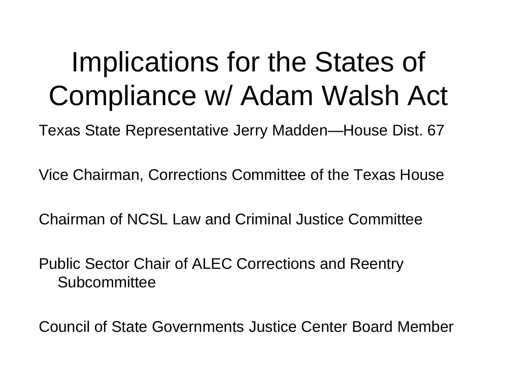# Implications for the States of Compliance w/ Adam Walsh Act

Texas State Representative Jerry Madden—House Dist. 67

Vice Chairman, Corrections Committee of the Texas House

Chairman of NCSL Law and Criminal Justice Committee

Public Sector Chair of ALEC Corrections and Reentry Subcommittee

Council of State Governments Justice Center Board Member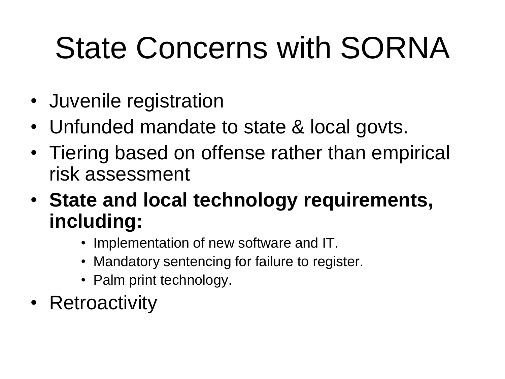# State Concerns with SORNA

- Juvenile registration
- Unfunded mandate to state & local govts.
- Tiering based on offense rather than empirical risk assessment
- **State and local technology requirements, including:**
	- Implementation of new software and IT.
	- Mandatory sentencing for failure to register.
	- Palm print technology.
- Retroactivity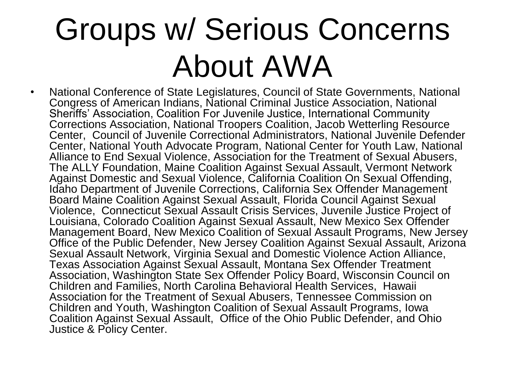# Groups w/ Serious Concerns About AWA

• National Conference of State Legislatures, Council of State Governments, National Congress of American Indians, National Criminal Justice Association, National Sheriffs' Association, Coalition For Juvenile Justice, International Community Corrections Association, National Troopers Coalition, Jacob Wetterling Resource Center, Council of Juvenile Correctional Administrators, National Juvenile Defender Center, National Youth Advocate Program, National Center for Youth Law, National Alliance to End Sexual Violence, Association for the Treatment of Sexual Abusers, The ALLY Foundation, Maine Coalition Against Sexual Assault, Vermont Network Against Domestic and Sexual Violence, California Coalition On Sexual Offending, Idaho Department of Juvenile Corrections, California Sex Offender Management Board Maine Coalition Against Sexual Assault, Florida Council Against Sexual Violence, Connecticut Sexual Assault Crisis Services, Juvenile Justice Project of Louisiana, Colorado Coalition Against Sexual Assault, New Mexico Sex Offender Management Board, New Mexico Coalition of Sexual Assault Programs, New Jersey Office of the Public Defender, New Jersey Coalition Against Sexual Assault, Arizona Sexual Assault Network, Virginia Sexual and Domestic Violence Action Alliance, Texas Association Against Sexual Assault, Montana Sex Offender Treatment Association, Washington State Sex Offender Policy Board, Wisconsin Council on Children and Families, North Carolina Behavioral Health Services, Hawaii Association for the Treatment of Sexual Abusers, Tennessee Commission on Children and Youth, Washington Coalition of Sexual Assault Programs, Iowa Coalition Against Sexual Assault, Office of the Ohio Public Defender, and Ohio Justice & Policy Center.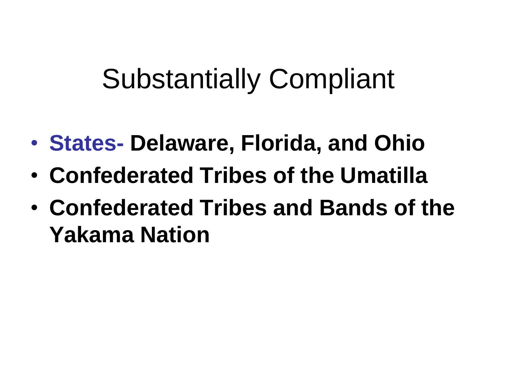# Substantially Compliant

- **States- Delaware, Florida, and Ohio**
- **Confederated Tribes of the Umatilla**
- **Confederated Tribes and Bands of the Yakama Nation**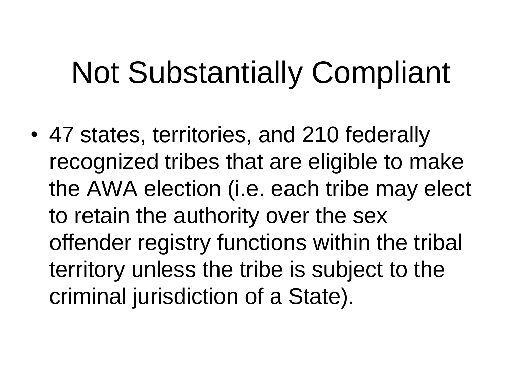# Not Substantially Compliant

• 47 states, territories, and 210 federally recognized tribes that are eligible to make the AWA election (i.e. each tribe may elect to retain the authority over the sex offender registry functions within the tribal territory unless the tribe is subject to the criminal jurisdiction of a State).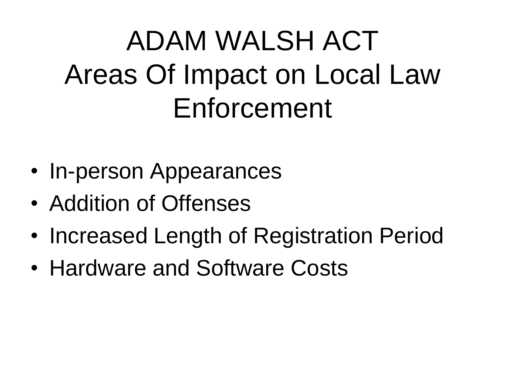# ADAM WALSH ACT Areas Of Impact on Local Law Enforcement

- In-person Appearances
- Addition of Offenses
- Increased Length of Registration Period
- Hardware and Software Costs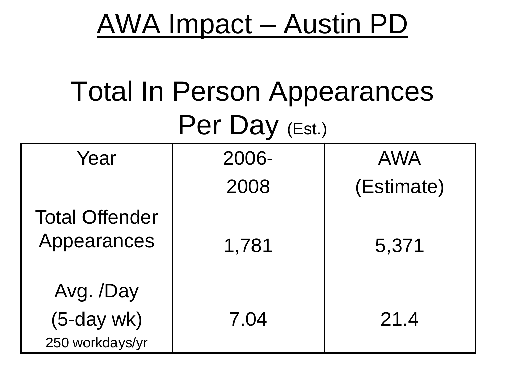### AWA Impact – Austin PD

## Total In Person Appearances Per Day (Est.)

| Year                                        | 2006- | <b>AWA</b> |
|---------------------------------------------|-------|------------|
|                                             | 2008  | (Estimate) |
| <b>Total Offender</b><br>Appearances        | 1,781 | 5,371      |
| Avg. /Day<br>$(5-daywk)$<br>250 workdays/yr | 7.04  | 21.4       |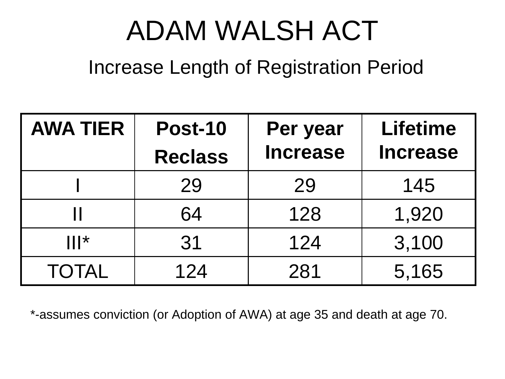# ADAM WALSH ACT

#### Increase Length of Registration Period

| <b>AWA TIER</b> | <b>Post-10</b> | Per year        | <b>Lifetime</b> |
|-----------------|----------------|-----------------|-----------------|
|                 | <b>Reclass</b> | <b>Increase</b> | <b>Increase</b> |
|                 | 29             | 29              | 145             |
|                 | 64             | 128             | 1,920           |
| $   _*$         | 31             | 124             | 3,100           |
| <b>TOTAL</b>    | 124            | 281             | 5,165           |

\*-assumes conviction (or Adoption of AWA) at age 35 and death at age 70.